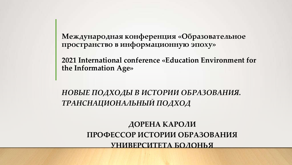**Международная конференция «Образовательное пространство в информационную эпоху»**

**2021 International conference «Education Environment for the Information Age»** 

*НОВЫЕ ПОДХОДЫ В ИСТОРИИ ОБРАЗОВАНИЯ. ТРАНСНАЦИОНАЛЬНЫЙ ПОДХОД*

> **ДОРЕНА КАРОЛИ ПРОФЕССОР ИСТОРИИ ОБРАЗОВАНИЯ УНИВЕРСИТЕТА БОЛОНЬЯ**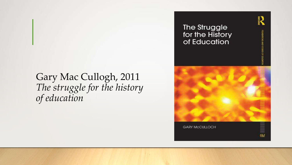## Gary Mac Cullogh, 2011 *The struggle for the history of education*

The Struggle for the History of Education

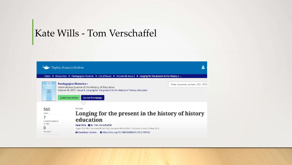## Kate Wills - Tom Verschaffel

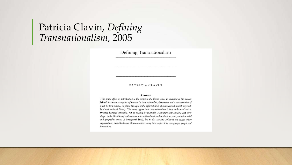## Patricia Clavin, Defining Transnationalism, 2005

Defining Transnationalism

### PATRICIA CLAVIN

#### Abstract

This article offers an introduction to the essays in the theme issue, an overview of the reasons behind the recent resurgence of interest in transnationalist phenomena and a consideration of what the term means. Its places the topic in the different fields of international, world, regional, local and national history. The essay argues that transnationalism is best understood not as fostering bounded networks, but as creating honeycombs, a structure that sustains and gives shapes to the identities of nation-states, international and local institutions, and particular social and geographic spaces. A honeycomb binds, but it also contains hollowed-out spaces where organisations, individuals and ideas can wither away to be replaced by new groups, people and innovations.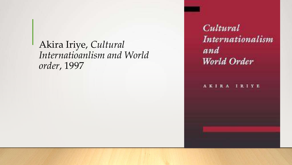## Akira Iriye, *Cultural Internatioanlism and World order*, 1997

Cultural Internationalism and World Order

AKIRA IRIYE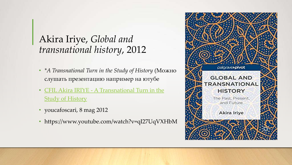# Akira Iriye, *Global and transnational history*, 2012

- *\*A Transnational Turn in the Study of History* (Можно слушать презентацию например на ютубе
- [CFIL Akira IRIYE -](https://www.youtube.com/watch?v=qI27UqVXHbM) [A Transnational Turn in the](https://www.youtube.com/watch?v=qI27UqVXHbM)  **[Study of History](https://www.youtube.com/watch?v=qI27UqVXHbM)**
- youcafoscari, 8 mag 2012
- https://www.youtube.com/watch?v=qI27UqVXHbM

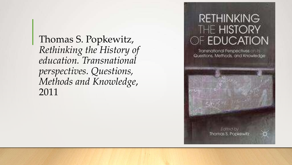Thomas S. Popkewitz, *Rethinking the History of education. Transnational perspectives. Questions, Methods and Knowledge*, 2011

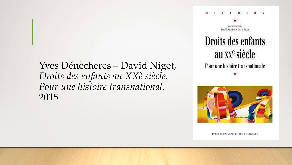## Yves Dénècheres – David Niget, *Droits des enfants au XXè siècle. Pour une histoire transnational*, 2015

### $T = 0$  1



# Droits des enfants au xx<sup>e</sup> siècle Pour une histoire transnationale



PRESSES UNIVERSITAIRES DE RENNES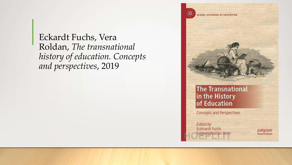Eckardt Fuchs, Vera Roldan, *The transnational history of education. Concepts and perspectives*, 2019

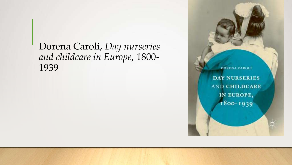Dorena Caroli, *Day nurseries and childcare in Europe*, 1800- 1939

**DAY NURSERIES AND CHILDCARE** IN EUROPE, 1800-1939

**DORENA CAROLI**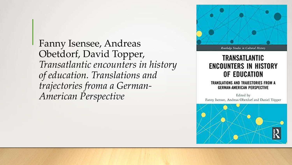Fanny Isensee, Andreas Obetdorf, David Topper, *Transatlantic encounters in history of education. Translations and trajectories froma a German-American Perspective*



## TRANSATLANTIC **ENCOUNTERS IN HISTORY** OF EDUCATION

### TRANSLATIONS AND TRAJECTORIES FROM A **GERMAN-AMERICAN PERSPECTIVE**

Edited by Fanny Isensee, Andreas Oberdorf and Daniel Topper

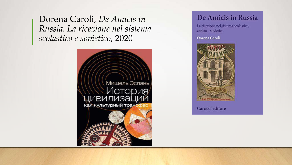Dorena Caroli, De Amicis in Russia. La ricezione nel sistema scolastico e sovietico, 2020



### De Amicis in Russia

La ricezione nel sistema scolastico zarista e sovietico

Dorena Caroli



Carocci editore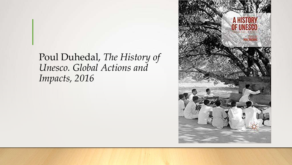## Poul Duhedal, *The History of Unesco. Global Actions and Impacts, 2016*

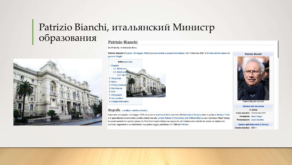### Patrizio Bianchi, итальянский Министр образования Patrizio Bianchi



### Da Wikipedia, l'enciclopedia libera.

Patrizio Bianchi (Copparo, 28 maggio 1952) è un economista e accademico italiano. Dal 13 febbraio 2021 è Ministro dell'istruzione nel governo Draghi.



#### Biografia [modifica | modifica wikitesto]

Dopo aver conseguito, nel maggio 1976, la laurea in scienze politiche con lode all'Università di Bologna sotto la guida di Romano Prodi, si è specializzato in economia e politica industriale alla London School of Economics and Political Science con il professor Basil Yamey. In questo periodo ha operato presso la Price Commission britannica, seguendo un'inchiesta sul controllo dei prezzi nel settore del cemento, argomento a cui dedicherà il suo primo saggio, pubblicato nel 1980 da Il Mulino.

Patrizio Bianchi



Ministro dell'istruzione In carica Inizio mandato 13 febbraio 2021 Presidente Mario Draghi Predecessore Lucia Azzolina

Rettore dell'Università di Ferrara Durata mandato 2004 -